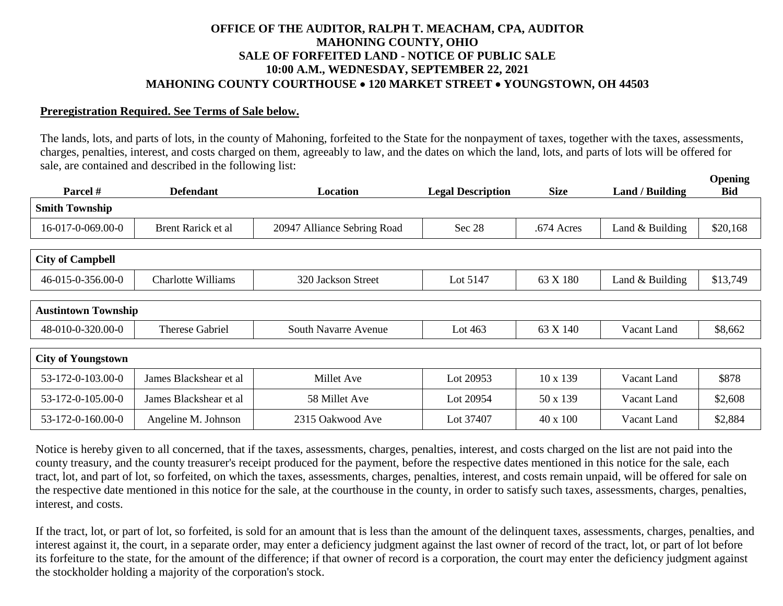## **OFFICE OF THE AUDITOR, RALPH T. MEACHAM, CPA, AUDITOR MAHONING COUNTY, OHIO SALE OF FORFEITED LAND - NOTICE OF PUBLIC SALE 10:00 A.M., WEDNESDAY, SEPTEMBER 22, 2021 MAHONING COUNTY COURTHOUSE 120 MARKET STREET YOUNGSTOWN, OH 44503**

## **Preregistration Required. See Terms of Sale below.**

The lands, lots, and parts of lots, in the county of Mahoning, forfeited to the State for the nonpayment of taxes, together with the taxes, assessments, charges, penalties, interest, and costs charged on them, agreeably to law, and the dates on which the land, lots, and parts of lots will be offered for sale, are contained and described in the following list:

**Opening** 

| Parcel #                   | <b>Defendant</b>          | Location                    | <b>Legal Description</b> | <b>Size</b>     | <b>Land / Building</b> | $V$ pennig<br><b>Bid</b> |
|----------------------------|---------------------------|-----------------------------|--------------------------|-----------------|------------------------|--------------------------|
| <b>Smith Township</b>      |                           |                             |                          |                 |                        |                          |
| 16-017-0-069.00-0          | Brent Rarick et al        | 20947 Alliance Sebring Road | Sec 28                   | .674 Acres      | Land & Building        | \$20,168                 |
| <b>City of Campbell</b>    |                           |                             |                          |                 |                        |                          |
| 46-015-0-356.00-0          | <b>Charlotte Williams</b> | 320 Jackson Street          | Lot 5147                 | 63 X 180        | Land & Building        | \$13,749                 |
|                            |                           |                             |                          |                 |                        |                          |
| <b>Austintown Township</b> |                           |                             |                          |                 |                        |                          |
| 48-010-0-320.00-0          | <b>Therese Gabriel</b>    | South Navarre Avenue        | Lot $463$                | 63 X 140        | Vacant Land            | \$8,662                  |
|                            |                           |                             |                          |                 |                        |                          |
| <b>City of Youngstown</b>  |                           |                             |                          |                 |                        |                          |
| 53-172-0-103.00-0          | James Blackshear et al    | Millet Ave                  | Lot 20953                | $10 \times 139$ | Vacant Land            | \$878                    |
| 53-172-0-105.00-0          | James Blackshear et al    | 58 Millet Ave               | Lot 20954                | 50 x 139        | Vacant Land            | \$2,608                  |
| 53-172-0-160.00-0          | Angeline M. Johnson       | 2315 Oakwood Ave            | Lot 37407                | $40 \times 100$ | Vacant Land            | \$2,884                  |

Notice is hereby given to all concerned, that if the taxes, assessments, charges, penalties, interest, and costs charged on the list are not paid into the county treasury, and the county treasurer's receipt produced for the payment, before the respective dates mentioned in this notice for the sale, each tract, lot, and part of lot, so forfeited, on which the taxes, assessments, charges, penalties, interest, and costs remain unpaid, will be offered for sale on the respective date mentioned in this notice for the sale, at the courthouse in the county, in order to satisfy such taxes, assessments, charges, penalties, interest, and costs.

If the tract, lot, or part of lot, so forfeited, is sold for an amount that is less than the amount of the delinquent taxes, assessments, charges, penalties, and interest against it, the court, in a separate order, may enter a deficiency judgment against the last owner of record of the tract, lot, or part of lot before its forfeiture to the state, for the amount of the difference; if that owner of record is a corporation, the court may enter the deficiency judgment against the stockholder holding a majority of the corporation's stock.